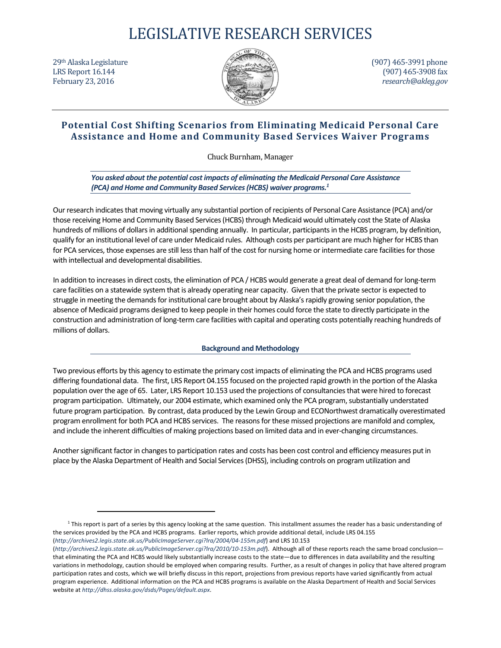# LEGISLATIVE RESEARCH SERVICES



 $29<sup>th</sup>$  Alaska Legislature (907) 465-3991 phone LRS Report 16.144 (907) 465‐3908 fax February 23, 2016 *research@akleg.gov research@akleg.gov* 

# **Potential Cost Shifting Scenarios from Eliminating Medicaid Personal Care Assistance and Home and Community Based Services Waiver Programs**

Chuck Burnham, Manager 

*You asked about the potential cost impacts of eliminating the Medicaid Personal Care Assistance (PCA) and Home and Community Based Services(HCBS) waiver programs.1*

Our research indicates that moving virtually any substantial portion of recipients of Personal Care Assistance (PCA) and/or those receiving Home and Community Based Services(HCBS) through Medicaid would ultimately cost the State of Alaska hundreds of millions of dollars in additional spending annually. In particular, participants in the HCBS program, by definition, qualify for an institutional level of care under Medicaid rules. Although costs per participant are much higher for HCBS than for PCA services, those expenses are still less than half of the cost for nursing home or intermediate care facilities for those with intellectual and developmental disabilities.

In addition to increases in direct costs, the elimination of PCA / HCBS would generate a great deal of demand for long-term care facilities on a statewide system that is already operating near capacity. Given that the private sector is expected to struggle in meeting the demands for institutional care brought about by Alaska's rapidly growing senior population, the absence of Medicaid programs designed to keep people in their homes could force the state to directly participate in the construction and administration of long‐term care facilities with capital and operating costs potentially reaching hundreds of millions of dollars.

## **Background and Methodology**

Two previous efforts by this agency to estimate the primary cost impacts of eliminating the PCA and HCBS programs used differing foundational data. The first, LRS Report 04.155 focused on the projected rapid growth in the portion of the Alaska population over the age of 65. Later, LRS Report 10.153 used the projections of consultancies that were hired to forecast program participation. Ultimately, our 2004 estimate, which examined only the PCA program, substantially understated future program participation. By contrast, data produced by the Lewin Group and ECONorthwest dramatically overestimated program enrollment for both PCA and HCBS services. The reasons for these missed projections are manifold and complex, and include the inherent difficulties of making projections based on limited data and in ever‐changing circumstances.

Another significant factor in changes to participation rates and costs has been cost control and efficiency measures put in place by the Alaska Department of Health and Social Services(DHSS), including controls on program utilization and

<sup>&</sup>lt;sup>1</sup> This report is part of a series by this agency looking at the same question. This installment assumes the reader has a basic understanding of the services provided by the PCA and HCBS programs. Earlier reports, which provide additional detail, include LRS 04.155 (*http://archives2.legis.state.ak.us/PublicImageServer.cgi?lra/2004/04‐155m.pdf*) and LRS 10.153

<sup>(</sup>*http://archives2.legis.state.ak.us/PublicImageServer.cgi?lra/2010/10‐153m.pdf*). Although all of these reports reach the same broad conclusion that eliminating the PCA and HCBS would likely substantially increase costs to the state—due to differences in data availability and the resulting variations in methodology, caution should be employed when comparing results. Further, as a result of changes in policy that have altered program participation rates and costs, which we will briefly discuss in this report, projections from previous reports have varied significantly from actual program experience. Additional information on the PCA and HCBS programs is available on the Alaska Department of Health and Social Services website at *http://dhss.alaska.gov/dsds/Pages/default.aspx*.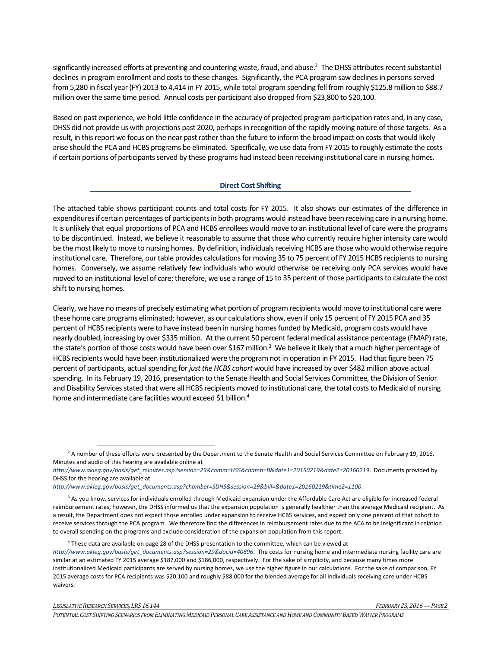significantly increased efforts at preventing and countering waste, fraud, and abuse.<sup>2</sup> The DHSS attributes recent substantial declines in program enrollment and costs to these changes. Significantly, the PCA program saw declines in persons served from 5,280 in fiscal year(FY) 2013 to 4,414 in FY 2015, while total program spending fell from roughly \$125.8 million to \$88.7 million over the same time period. Annual costs per participant also dropped from \$23,800 to \$20,100.

Based on past experience, we hold little confidence in the accuracy of projected program participation rates and, in any case, DHSS did not provide us with projections past 2020, perhaps in recognition of the rapidly moving nature of those targets. As a result, in thisreport we focus on the near pastrather than the future to inform the broad impact on coststhat would likely arise should the PCA and HCBS programs be eliminated. Specifically, we use data from FY 2015 to roughly estimate the costs if certain portions of participants served by these programs had instead been receiving institutional care in nursing homes.

#### **Direct Cost Shifting**

The attached table shows participant counts and total costs for FY 2015. It also shows our estimates of the difference in expenditures if certain percentages of participants in both programs would instead have been receiving care in a nursing home. It is unlikely that equal proportions of PCA and HCBS enrollees would move to an institutional level of care were the programs to be discontinued. Instead, we believe it reasonable to assume that those who currently require higher intensity care would be the most likely to move to nursing homes. By definition, individuals receiving HCBS are those who would otherwise require institutional care. Therefore, our table provides calculations for moving 35 to 75 percent of FY 2015 HCBS recipients to nursing homes. Conversely, we assume relatively few individuals who would otherwise be receiving only PCA services would have moved to an institutional level of care; therefore, we use a range of 15 to 35 percent of those participants to calculate the cost shift to nursing homes.

Clearly, we have no means of precisely estimating what portion of program recipients would move to institutional care were these home care programs eliminated; however, as our calculations show, even if only 15 percent of FY 2015 PCA and 35 percent of HCBS recipients were to have instead been in nursing homes funded by Medicaid, program costs would have nearly doubled, increasing by over \$335 million. At the current 50 percent federal medical assistance percentage (FMAP) rate, the state's portion of those costs would have been over \$167 million.<sup>3</sup> We believe it likely that a much higher percentage of HCBS recipients would have been institutionalized were the program not in operation in FY 2015. Had that figure been 75 percent of participants, actual spending for just the HCBS cohort would have increased by over \$482 million above actual spending. In its February 19, 2016, presentation to the Senate Health and Social Services Committee, the Division of Senior and Disability Services stated that were all HCBS recipients moved to institutional care, the total costs to Medicaid of nursing home and intermediate care facilities would exceed \$1 billion.<sup>4</sup>

<sup>&</sup>lt;sup>2</sup> A number of these efforts were presented by the Department to the Senate Health and Social Services Committee on February 19, 2016. Minutes and audio of this hearing are available online at

*http://www.akleg.gov/basis/get\_minutes.asp?session=29&comm=HSS&chamb=B&date1=20150219&date2=20160219*. Documents provided by DHSS for the hearing are available at

*http://www.akleg.gov/basis/get\_documents.asp?chamber=SDHS&session=29&bill=&date1=20160219&time2=1100*.

<sup>&</sup>lt;sup>3</sup> As you know, services for individuals enrolled through Medicaid expansion under the Affordable Care Act are eligible for increased federal reimbursement rates; however, the DHSS informed us that the expansion population is generally healthier than the average Medicaid recipient. As a result, the Department does not expect those enrolled under expansion to receive HCBS services, and expect only one percent of that cohort to receive services through the PCA program. We therefore find the differences in reimbursement rates due to the ACA to be insignificant in relation to overall spending on the programs and exclude consideration of the expansion population from this report.

<sup>4</sup> These data are available on page 28 of the DHSS presentation to the committee, which can be viewed at *http://www.akleg.gov/basis/get\_documents.asp?session=29&docid=40896*. The costs for nursing home and intermediate nursing facility care are similar at an estimated FY 2015 average \$187,000 and \$186,000, respectively. For the sake of simplicity, and because many times more institutionalized Medicaid participants are served by nursing homes, we use the higher figure in our calculations. For the sake of comparison, FY 2015 average costs for PCA recipients was \$20,100 and roughly \$88,000 for the blended average for all individuals receiving care under HCBS waivers.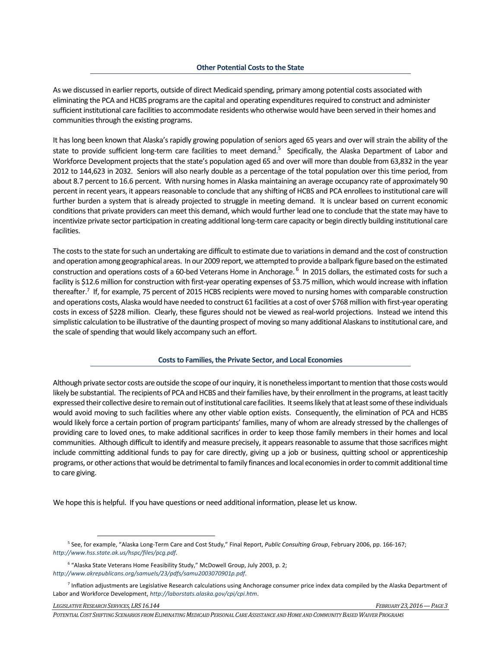As we discussed in earlier reports, outside of direct Medicaid spending, primary among potential costs associated with eliminating the PCA and HCBS programs are the capital and operating expenditures required to construct and administer sufficient institutional care facilities to accommodate residents who otherwise would have been served in their homes and communities through the existing programs.

It has long been known that Alaska'srapidly growing population of seniors aged 65 years and over will strain the ability of the state to provide sufficient long-term care facilities to meet demand.<sup>5</sup> Specifically, the Alaska Department of Labor and Workforce Development projects that the state's population aged 65 and over will more than double from 63,832 in the year 2012 to 144,623 in 2032. Seniors will also nearly double as a percentage of the total population over this time period, from about 8.7 percent to 16.6 percent. With nursing homes in Alaska maintaining an average occupancy rate of approximately 90 percent in recent years, it appears reasonable to conclude that any shifting of HCBS and PCA enrollees to institutional care will further burden a system that is already projected to struggle in meeting demand. It is unclear based on current economic conditions that private providers can meet this demand, which would further lead one to conclude that the state may have to incentivize private sector participation in creating additional long-term care capacity or begin directly building institutional care facilities.

The costs to the state for such an undertaking are difficult to estimate due to variations in demand and the cost of construction and operation among geographical areas. In our 2009 report, we attempted to provide a ballpark figure based on the estimated construction and operations costs of a 60-bed Veterans Home in Anchorage. <sup>6</sup> In 2015 dollars, the estimated costs for such a facility is \$12.6 million for construction with first-year operating expenses of \$3.75 million, which would increase with inflation thereafter.<sup>7</sup> If, for example, 75 percent of 2015 HCBS recipients were moved to nursing homes with comparable construction and operations costs, Alaska would have needed to construct 61 facilities at a cost of over \$768 million with first-year operating costs in excess of \$228 million. Clearly, these figures should not be viewed as real-world projections. Instead we intend this simplistic calculation to be illustrative of the daunting prospect of moving so many additional Alaskansto institutional care, and the scale of spending that would likely accompany such an effort.

### **Coststo Families,the Private Sector, and Local Economies**

Although private sector costs are outside the scope of our inquiry, it is nonetheless important to mention that those costs would likely be substantial. The recipients of PCA and HCBS and their families have, by their enrollment in the programs, at least tacitly expressed their collective desire to remain out of institutional care facilities. It seems likely that at least some of these individuals would avoid moving to such facilities where any other viable option exists. Consequently, the elimination of PCA and HCBS would likely force a certain portion of program participants' families, many of whom are already stressed by the challenges of providing care to loved ones, to make additional sacrifices in order to keep those family members in their homes and local communities. Although difficult to identify and measure precisely, it appears reasonable to assume that those sacrifices might include committing additional funds to pay for care directly, giving up a job or business, quitting school or apprenticeship programs, or other actions that would be detrimental to family finances and local economies in order to commit additional time to care giving.

We hope this is helpful. If you have questions or need additional information, please let us know.

*LEGISLATIVERESEARCHSERVICES,LRS 16.144 FEBRUARY 23, 2016—PAGE 3*

*POTENTIALCOST SHIFTING SCENARIOS FROM ELIMINATINGMEDICAIDPERSONALCAREASSISTANCE ANDHOME ANDCOMMUNITYBASEDWAIVER PROGRAMS*

<sup>5</sup> See, for example, "Alaska Long‐Term Care and Cost Study," Final Report, *Public Consulting Group*, February 2006, pp. 166‐167; *http://www.hss.state.ak.us/hspc/files/pcg.pdf.* 

<sup>6</sup> "Alaska State Veterans Home Feasibility Study," McDowell Group, July 2003, p. 2; *http://www.akrepublicans.org/samuels/23/pdfs/samu2003070901p.pdf*.

<sup>&</sup>lt;sup>7</sup> Inflation adjustments are Legislative Research calculations using Anchorage consumer price index data compiled by the Alaska Department of Labor and Workforce Development, *http://laborstats.alaska.gov/cpi/cpi.htm*.